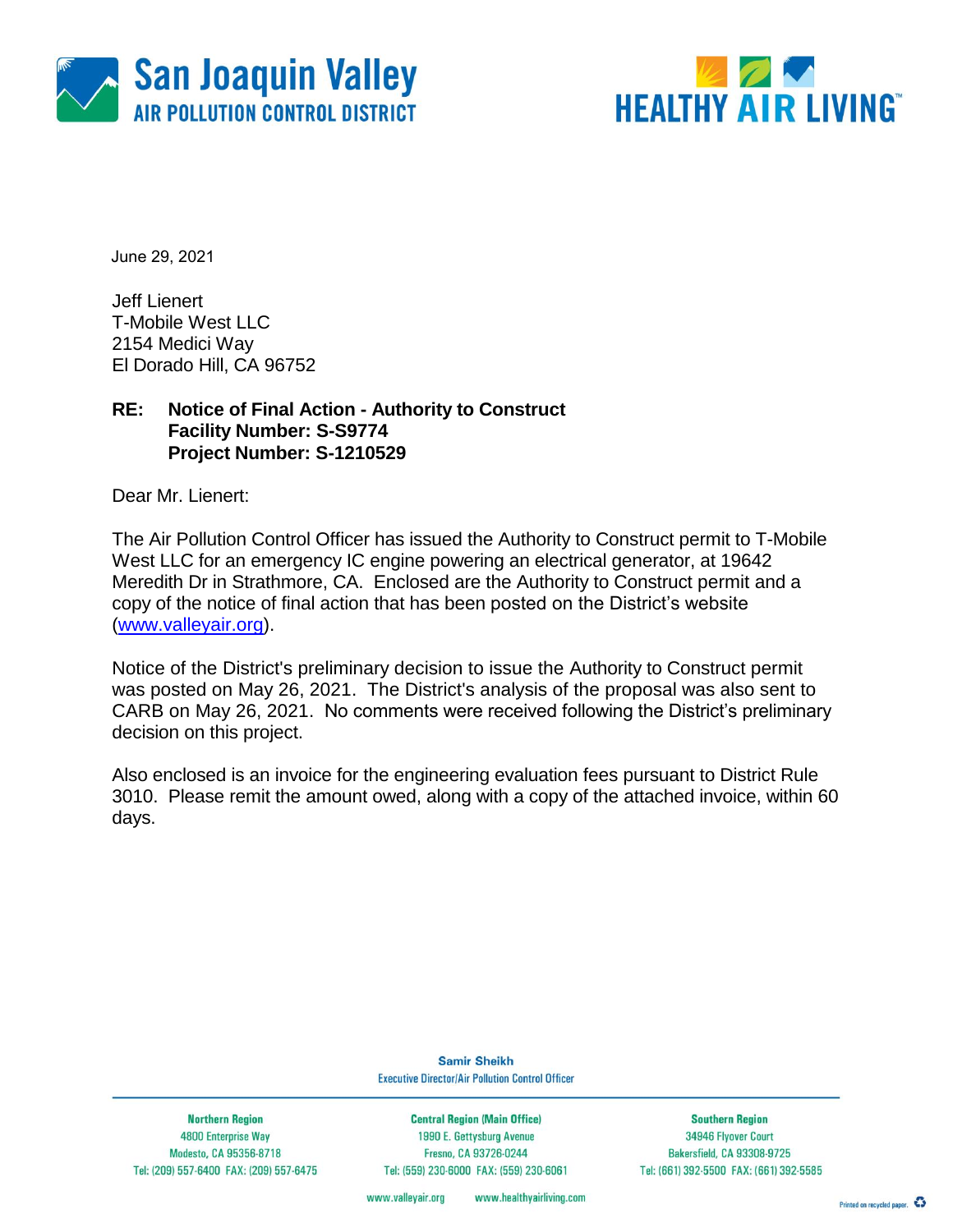



June 29, 2021

Jeff Lienert T-Mobile West LLC 2154 Medici Way El Dorado Hill, CA 96752

### **RE: Notice of Final Action - Authority to Construct Facility Number: S-S9774 Project Number: S-1210529**

Dear Mr. Lienert:

The Air Pollution Control Officer has issued the Authority to Construct permit to T-Mobile West LLC for an emergency IC engine powering an electrical generator, at 19642 Meredith Dr in Strathmore, CA. Enclosed are the Authority to Construct permit and a copy of the notice of final action that has been posted on the District's website [\(www.valleyair.org\)](http://www.valleyair.org/).

Notice of the District's preliminary decision to issue the Authority to Construct permit was posted on May 26, 2021. The District's analysis of the proposal was also sent to CARB on May 26, 2021. No comments were received following the District's preliminary decision on this project.

Also enclosed is an invoice for the engineering evaluation fees pursuant to District Rule 3010. Please remit the amount owed, along with a copy of the attached invoice, within 60 days.

> **Samir Sheikh Executive Director/Air Pollution Control Officer**

**Northern Region** 4800 Enterprise Way Modesto, CA 95356-8718 Tel: (209) 557-6400 FAX: (209) 557-6475

**Central Region (Main Office)** 1990 E. Gettysburg Avenue Fresno, CA 93726-0244 Tel: (559) 230-6000 FAX: (559) 230-6061

**Southern Region** 34946 Flyover Court Bakersfield, CA 93308-9725 Tel: (661) 392-5500 FAX: (661) 392-5585

www.valleyair.org www.healthyairliving.com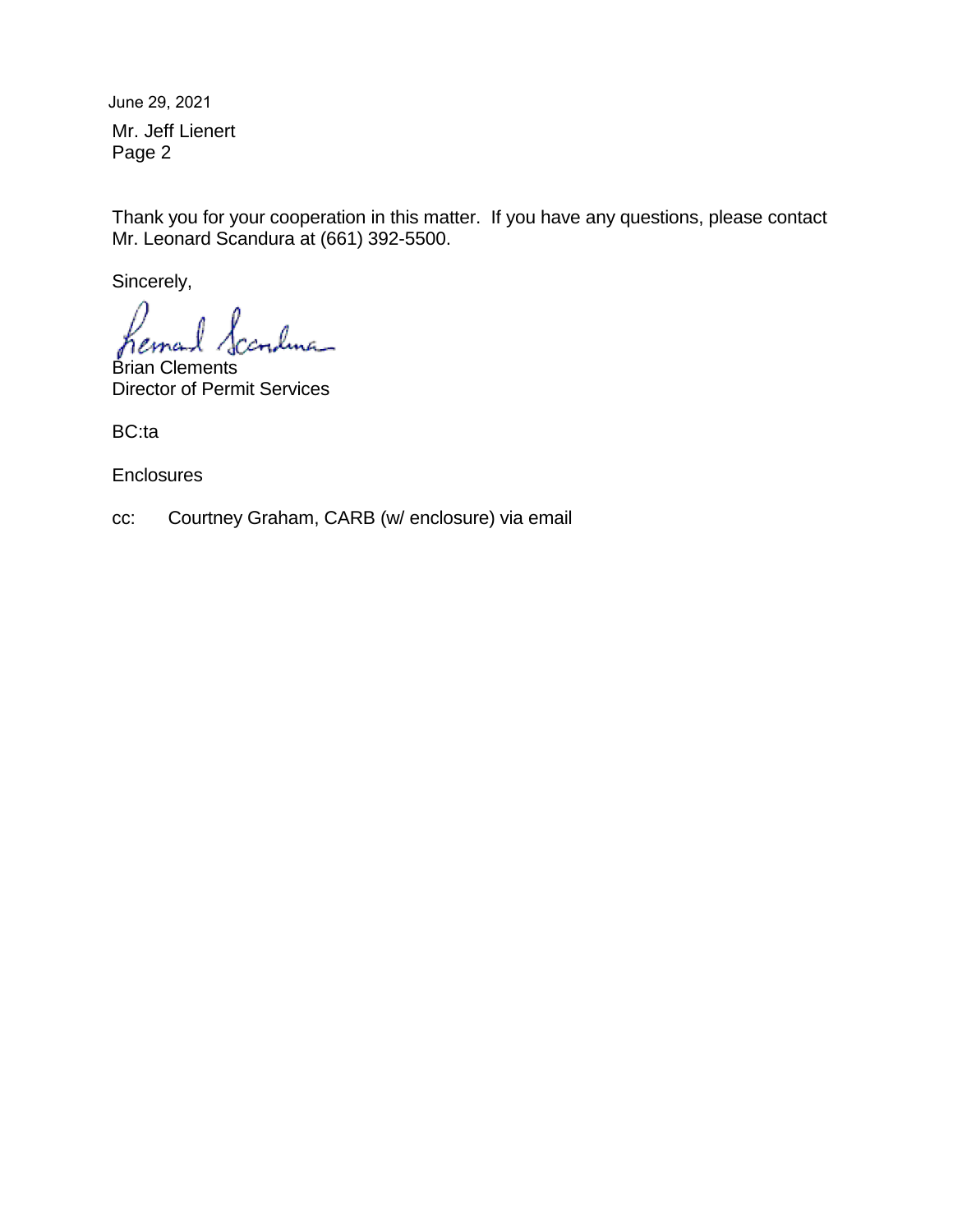Mr. Jeff Lienert Page 2 June 29, 2021

Thank you for your cooperation in this matter. If you have any questions, please contact Mr. Leonard Scandura at (661) 392-5500.

Sincerely,

ndma\_

Brian Clements Director of Permit Services

BC:ta

**Enclosures** 

cc: Courtney Graham, CARB (w/ enclosure) via email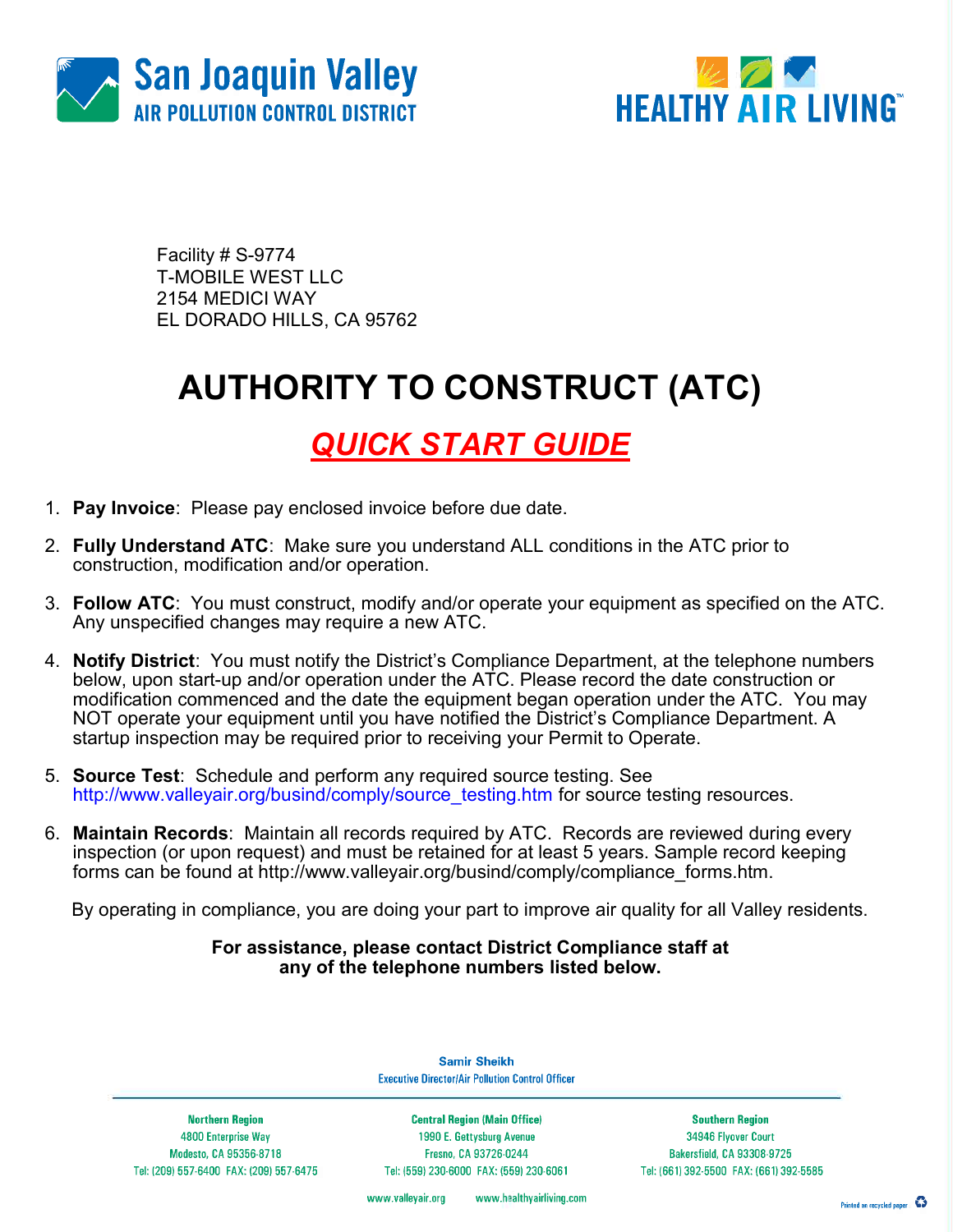



Facility # S-9774 T-MOBILE WEST LLC 2154 MEDICI WAY EL DORADO HILLS, CA 95762

# AUTHORITY TO CONSTRUCT (ATC)

### QUICK START GUIDE

- 1. Pay Invoice: Please pay enclosed invoice before due date.
- 2. Fully Understand ATC: Make sure you understand ALL conditions in the ATC prior to construction, modification and/or operation.
- 3. Follow ATC: You must construct, modify and/or operate your equipment as specified on the ATC. Any unspecified changes may require a new ATC.
- 4. Notify District: You must notify the District's Compliance Department, at the telephone numbers below, upon start-up and/or operation under the ATC. Please record the date construction or modification commenced and the date the equipment began operation under the ATC. You may NOT operate your equipment until you have notified the District's Compliance Department. A startup inspection may be required prior to receiving your Permit to Operate.
- 5. Source Test: Schedule and perform any required source testing. See http://www.valleyair.org/busind/comply/source\_testing.htm for source testing resources.
- 6. Maintain Records: Maintain all records required by ATC. Records are reviewed during every inspection (or upon request) and must be retained for at least 5 years. Sample record keeping forms can be found at http://www.valleyair.org/busind/comply/compliance\_forms.htm.

By operating in compliance, you are doing your part to improve air quality for all Valley residents.

### For assistance, please contact District Compliance staff at any of the telephone numbers listed below.

**Northern Region** 4800 Enterprise Way Modesto, CA 95356-8718 Tel: (209) 557-6400 FAX: (209) 557-6475

**Samir Sheikh Executive Director/Air Pollution Control Officer** 

**Central Region (Main Office)** 1990 E. Gettysburg Avenue Fresno, CA 93726-0244 Tel: (559) 230-6000 FAX: (559) 230-6061

**Southern Region** 34946 Flyover Court Bakersfield, CA 93308-9725 Tel: (661) 392-5500 FAX: (661) 392-5585

www.valleyair.org www.healthyairliving.com

Printed on recycled paper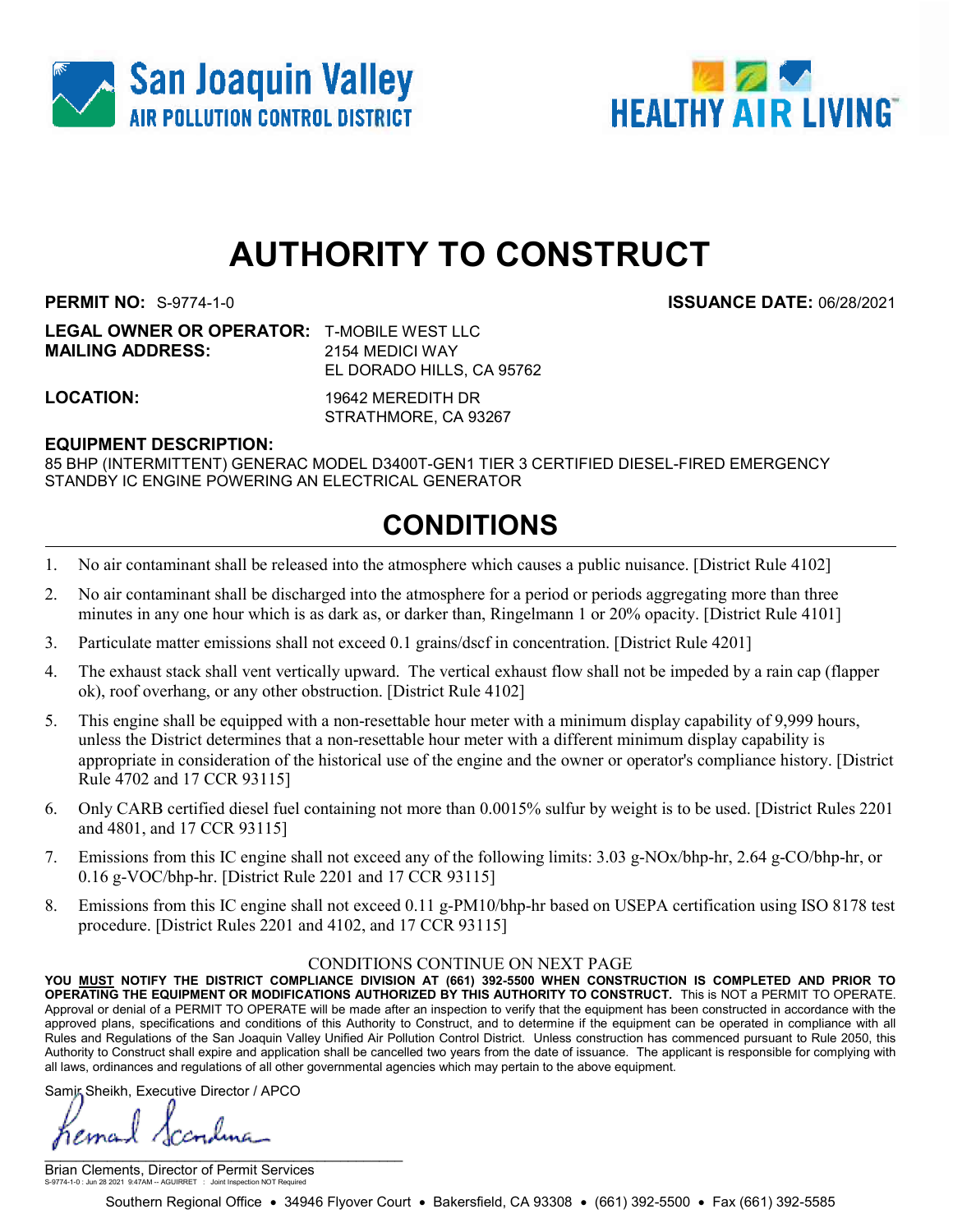



# AUTHORITY TO CONSTRUCT

**PERMIT NO:** S-9774-1-0 **ISSUANCE DATE:** 06/28/2021

| <b>LEGAL OWNER OR OPERATOR: T-MOBILE WEST LLC</b> |                           |
|---------------------------------------------------|---------------------------|
| <b>MAILING ADDRESS:</b>                           | 2154 MEDICI WAY           |
|                                                   | EL DORADO HILLS, CA 95762 |

LOCATION: 19642 MEREDITH DR STRATHMORE, CA 93267

### EQUIPMENT DESCRIPTION:

85 BHP (INTERMITTENT) GENERAC MODEL D3400T-GEN1 TIER 3 CERTIFIED DIESEL-FIRED EMERGENCY STANDBY IC ENGINE POWERING AN ELECTRICAL GENERATOR

### CONDITIONS

- 1. No air contaminant shall be released into the atmosphere which causes a public nuisance. [District Rule 4102]
- 2. No air contaminant shall be discharged into the atmosphere for a period or periods aggregating more than three minutes in any one hour which is as dark as, or darker than, Ringelmann 1 or 20% opacity. [District Rule 4101]
- 3. Particulate matter emissions shall not exceed 0.1 grains/dscf in concentration. [District Rule 4201]
- 4. The exhaust stack shall vent vertically upward. The vertical exhaust flow shall not be impeded by a rain cap (flapper ok), roof overhang, or any other obstruction. [District Rule 4102]
- 5. This engine shall be equipped with a non-resettable hour meter with a minimum display capability of 9,999 hours, unless the District determines that a non-resettable hour meter with a different minimum display capability is appropriate in consideration of the historical use of the engine and the owner or operator's compliance history. [District Rule 4702 and 17 CCR 93115]
- 6. Only CARB certified diesel fuel containing not more than 0.0015% sulfur by weight is to be used. [District Rules 2201 and 4801, and 17 CCR 93115]
- 7. Emissions from this IC engine shall not exceed any of the following limits: 3.03 g-NOx/bhp-hr, 2.64 g-CO/bhp-hr, or 0.16 g-VOC/bhp-hr. [District Rule 2201 and 17 CCR 93115]
- 8. Emissions from this IC engine shall not exceed 0.11 g-PM10/bhp-hr based on USEPA certification using ISO 8178 test procedure. [District Rules 2201 and 4102, and 17 CCR 93115]

#### CONDITIONS CONTINUE ON NEXT PAGE

YOU MUST NOTIFY THE DISTRICT COMPLIANCE DIVISION AT (661) 392-5500 WHEN CONSTRUCTION IS COMPLETED AND PRIOR TO OPERATING THE EQUIPMENT OR MODIFICATIONS AUTHORIZED BY THIS AUTHORITY TO CONSTRUCT. This is NOT a PERMIT TO OPERATE. Approval or denial of a PERMIT TO OPERATE will be made after an inspection to verify that the equipment has been constructed in accordance with the approved plans, specifications and conditions of this Authority to Construct, and to determine if the equipment can be operated in compliance with all Rules and Regulations of the San Joaquin Valley Unified Air Pollution Control District. Unless construction has commenced pursuant to Rule 2050, this Authority to Construct shall expire and application shall be cancelled two years from the date of issuance. The applicant is responsible for complying with all laws, ordinances and regulations of all other governmental agencies which may pertain to the above equipment.

Samir Sheikh, Executive Director / APCO

ema  $\mathcal{L}_{\mathcal{L}}$  , and the set of the set of the set of the set of the set of the set of the set of the set of the set of the set of the set of the set of the set of the set of the set of the set of the set of the set of th

Brian Clements, Director of Permit Services S-9774-1-0 : Jun 28 2021 9:47AM -- AGUIRRET : Joint Inspection NOT Required

Southern Regional Office • 34946 Flyover Court • Bakersfield, CA 93308 • (661) 392-5500 • Fax (661) 392-5585